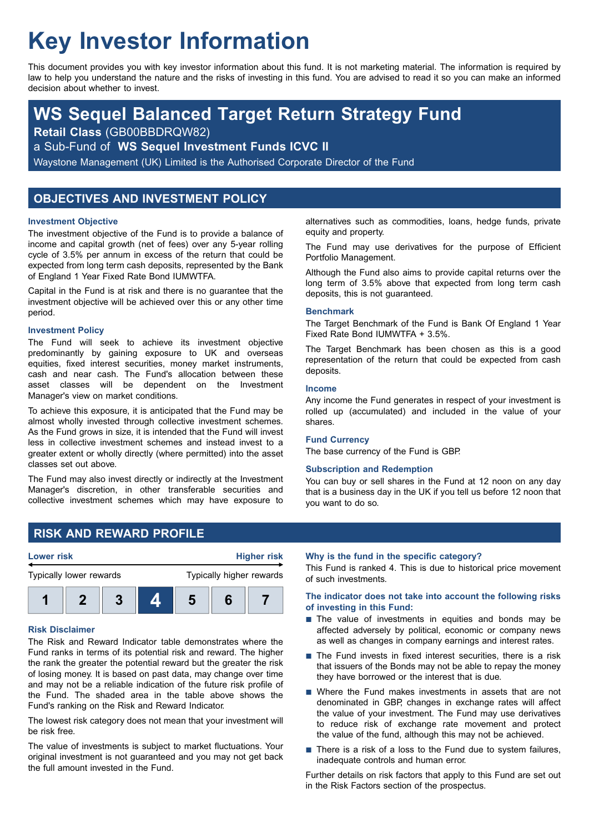# **Key Investor Information**

This document provides you with key investor information about this fund. It is not marketing material. The information is required by law to help you understand the nature and the risks of investing in this fund. You are advised to read it so you can make an informed decision about whether to invest.

# **WS Sequel Balanced Target Return Strategy Fund**

**Retail Class** (GB00BBDRQW82)

a Sub-Fund of **WS Sequel Investment Funds ICVC II**

Waystone Management (UK) Limited is the Authorised Corporate Director of the Fund

# **OBJECTIVES AND INVESTMENT POLICY**

#### **Investment Objective**

The investment objective of the Fund is to provide a balance of income and capital growth (net of fees) over any 5-year rolling cycle of 3.5% per annum in excess of the return that could be expected from long term cash deposits, represented by the Bank of England 1 Year Fixed Rate Bond IUMWTFA.

Capital in the Fund is at risk and there is no guarantee that the investment objective will be achieved over this or any other time period.

#### **Investment Policy**

The Fund will seek to achieve its investment objective predominantly by gaining exposure to UK and overseas equities, fixed interest securities, money market instruments, cash and near cash. The Fund's allocation between these asset classes will be dependent on the Investment Manager's view on market conditions.

To achieve this exposure, it is anticipated that the Fund may be almost wholly invested through collective investment schemes. As the Fund grows in size, it is intended that the Fund will invest less in collective investment schemes and instead invest to a greater extent or wholly directly (where permitted) into the asset classes set out above.

The Fund may also invest directly or indirectly at the Investment Manager's discretion, in other transferable securities and collective investment schemes which may have exposure to

alternatives such as commodities, loans, hedge funds, private equity and property.

The Fund may use derivatives for the purpose of Efficient Portfolio Management.

Although the Fund also aims to provide capital returns over the long term of 3.5% above that expected from long term cash deposits, this is not guaranteed.

#### **Benchmark**

The Target Benchmark of the Fund is Bank Of England 1 Year Fixed Rate Bond IUMWTFA + 3.5%.

The Target Benchmark has been chosen as this is a good representation of the return that could be expected from cash deposits.

#### **Income**

Any income the Fund generates in respect of your investment is rolled up (accumulated) and included in the value of your shares.

#### **Fund Currency**

The base currency of the Fund is GBP.

#### **Subscription and Redemption**

You can buy or sell shares in the Fund at 12 noon on any day that is a business day in the UK if you tell us before 12 noon that you want to do so.

# **RISK AND REWARD PROFILE**



#### **Risk Disclaimer**

The Risk and Reward Indicator table demonstrates where the Fund ranks in terms of its potential risk and reward. The higher the rank the greater the potential reward but the greater the risk of losing money. It is based on past data, may change over time and may not be a reliable indication of the future risk profile of the Fund. The shaded area in the table above shows the Fund's ranking on the Risk and Reward Indicator.

The lowest risk category does not mean that your investment will be risk free.

The value of investments is subject to market fluctuations. Your original investment is not guaranteed and you may not get back the full amount invested in the Fund.

#### **Why is the fund in the specific category?**

This Fund is ranked 4. This is due to historical price movement of such investments.

#### **The indicator does not take into account the following risks of investing in this Fund:**

- $\blacksquare$  The value of investments in equities and bonds may be affected adversely by political, economic or company news as well as changes in company earnings and interest rates.
- The Fund invests in fixed interest securities, there is a risk that issuers of the Bonds may not be able to repay the money they have borrowed or the interest that is due.
- $\blacksquare$  Where the Fund makes investments in assets that are not denominated in GBP, changes in exchange rates will affect the value of your investment. The Fund may use derivatives to reduce risk of exchange rate movement and protect the value of the fund, although this may not be achieved.
- $\blacksquare$  There is a risk of a loss to the Fund due to system failures, inadequate controls and human error.

Further details on risk factors that apply to this Fund are set out in the Risk Factors section of the prospectus.